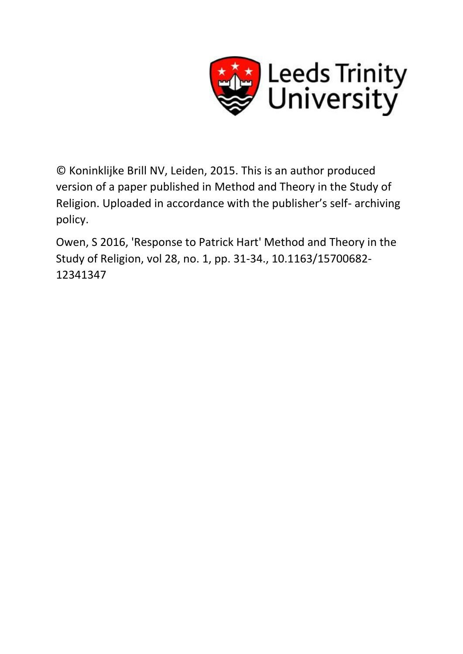

© Koninklijke Brill NV, Leiden, 2015. This is an author produced version of a paper published in Method and Theory in the Study of Religion. Uploaded in accordance with the publisher's self- archiving policy.

Owen, S 2016, 'Response to Patrick Hart' Method and Theory in the Study of Religion, vol 28, no. 1, pp. 31-34., 10.1163/15700682- 12341347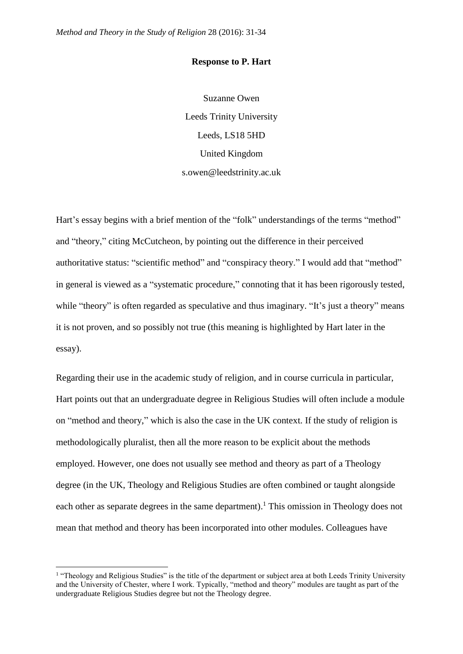## **Response to P. Hart**

Suzanne Owen Leeds Trinity University Leeds, LS18 5HD United Kingdom s.owen@leedstrinity.ac.uk

Hart's essay begins with a brief mention of the "folk" understandings of the terms "method" and "theory," citing McCutcheon, by pointing out the difference in their perceived authoritative status: "scientific method" and "conspiracy theory." I would add that "method" in general is viewed as a "systematic procedure," connoting that it has been rigorously tested, while "theory" is often regarded as speculative and thus imaginary. "It's just a theory" means it is not proven, and so possibly not true (this meaning is highlighted by Hart later in the essay).

Regarding their use in the academic study of religion, and in course curricula in particular, Hart points out that an undergraduate degree in Religious Studies will often include a module on "method and theory," which is also the case in the UK context. If the study of religion is methodologically pluralist, then all the more reason to be explicit about the methods employed. However, one does not usually see method and theory as part of a Theology degree (in the UK, Theology and Religious Studies are often combined or taught alongside each other as separate degrees in the same department).<sup>1</sup> This omission in Theology does not mean that method and theory has been incorporated into other modules. Colleagues have

1

<sup>&</sup>lt;sup>1</sup> "Theology and Religious Studies" is the title of the department or subject area at both Leeds Trinity University and the University of Chester, where I work. Typically, "method and theory" modules are taught as part of the undergraduate Religious Studies degree but not the Theology degree.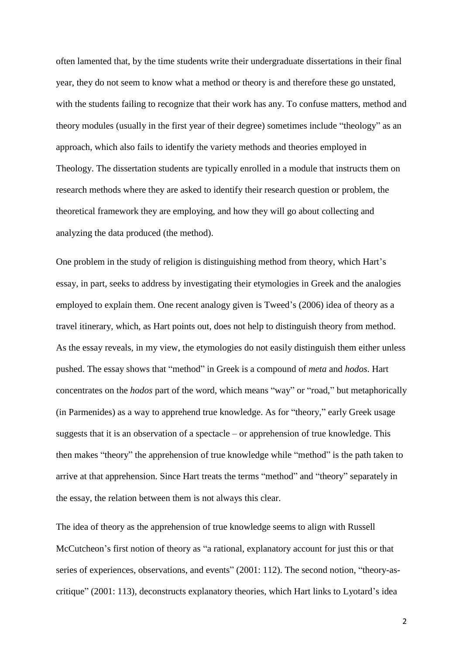often lamented that, by the time students write their undergraduate dissertations in their final year, they do not seem to know what a method or theory is and therefore these go unstated, with the students failing to recognize that their work has any. To confuse matters, method and theory modules (usually in the first year of their degree) sometimes include "theology" as an approach, which also fails to identify the variety methods and theories employed in Theology. The dissertation students are typically enrolled in a module that instructs them on research methods where they are asked to identify their research question or problem, the theoretical framework they are employing, and how they will go about collecting and analyzing the data produced (the method).

One problem in the study of religion is distinguishing method from theory, which Hart's essay, in part, seeks to address by investigating their etymologies in Greek and the analogies employed to explain them. One recent analogy given is Tweed's (2006) idea of theory as a travel itinerary, which, as Hart points out, does not help to distinguish theory from method. As the essay reveals, in my view, the etymologies do not easily distinguish them either unless pushed. The essay shows that "method" in Greek is a compound of *meta* and *hodos*. Hart concentrates on the *hodos* part of the word, which means "way" or "road," but metaphorically (in Parmenides) as a way to apprehend true knowledge. As for "theory," early Greek usage suggests that it is an observation of a spectacle – or apprehension of true knowledge. This then makes "theory" the apprehension of true knowledge while "method" is the path taken to arrive at that apprehension. Since Hart treats the terms "method" and "theory" separately in the essay, the relation between them is not always this clear.

The idea of theory as the apprehension of true knowledge seems to align with Russell McCutcheon's first notion of theory as "a rational, explanatory account for just this or that series of experiences, observations, and events" (2001: 112). The second notion, "theory-ascritique" (2001: 113), deconstructs explanatory theories, which Hart links to Lyotard's idea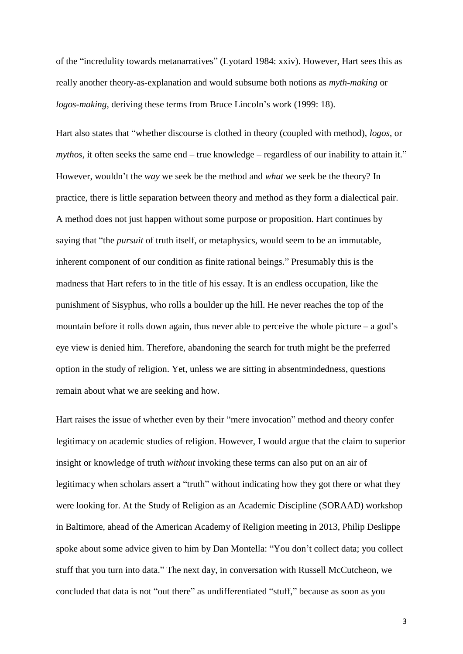of the "incredulity towards metanarratives" (Lyotard 1984: xxiv). However, Hart sees this as really another theory-as-explanation and would subsume both notions as *myth-making* or *logos-making*, deriving these terms from Bruce Lincoln's work (1999: 18).

Hart also states that "whether discourse is clothed in theory (coupled with method), *logos*, or *mythos*, it often seeks the same end – true knowledge – regardless of our inability to attain it." However, wouldn't the *way* we seek be the method and *what* we seek be the theory? In practice, there is little separation between theory and method as they form a dialectical pair. A method does not just happen without some purpose or proposition. Hart continues by saying that "the *pursuit* of truth itself, or metaphysics, would seem to be an immutable, inherent component of our condition as finite rational beings." Presumably this is the madness that Hart refers to in the title of his essay. It is an endless occupation, like the punishment of Sisyphus, who rolls a boulder up the hill. He never reaches the top of the mountain before it rolls down again, thus never able to perceive the whole picture  $-$  a god's eye view is denied him. Therefore, abandoning the search for truth might be the preferred option in the study of religion. Yet, unless we are sitting in absentmindedness, questions remain about what we are seeking and how.

Hart raises the issue of whether even by their "mere invocation" method and theory confer legitimacy on academic studies of religion. However, I would argue that the claim to superior insight or knowledge of truth *without* invoking these terms can also put on an air of legitimacy when scholars assert a "truth" without indicating how they got there or what they were looking for. At the Study of Religion as an Academic Discipline (SORAAD) workshop in Baltimore, ahead of the American Academy of Religion meeting in 2013, Philip Deslippe spoke about some advice given to him by Dan Montella: "You don't collect data; you collect stuff that you turn into data." The next day, in conversation with Russell McCutcheon, we concluded that data is not "out there" as undifferentiated "stuff," because as soon as you